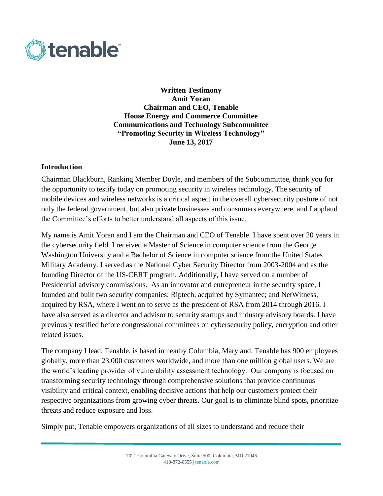

**Written Testimony Amit Yoran Chairman and CEO, Tenable House Energy and Commerce Committee Communications and Technology Subcommittee "Promoting Security in Wireless Technology" June 13, 2017**

### **Introduction**

Chairman Blackburn, Ranking Member Doyle, and members of the Subcommittee, thank you for the opportunity to testify today on promoting security in wireless technology. The security of mobile devices and wireless networks is a critical aspect in the overall cybersecurity posture of not only the federal government, but also private businesses and consumers everywhere, and I applaud the Committee's efforts to better understand all aspects of this issue.

My name is Amit Yoran and I am the Chairman and CEO of Tenable. I have spent over 20 years in the cybersecurity field. I received a Master of Science in computer science from the George Washington University and a Bachelor of Science in computer science from the United States Military Academy. I served as the National Cyber Security Director from 2003-2004 and as the founding Director of the US-CERT program. Additionally, I have served on a number of Presidential advisory commissions. As an innovator and entrepreneur in the security space, I founded and built two security companies: Riptech, acquired by Symantec; and NetWitness, acquired by RSA, where I went on to serve as the president of RSA from 2014 through 2016. I have also served as a director and advisor to security startups and industry advisory boards. I have previously testified before congressional committees on cybersecurity policy, encryption and other related issues.

The company I lead, Tenable, is based in nearby Columbia, Maryland. Tenable has 900 employees globally, more than 23,000 customers worldwide, and more than one million global users. We are the world's leading provider of vulnerability assessment technology. Our company is focused on transforming security technology through comprehensive solutions that provide continuous visibility and critical context, enabling decisive actions that help our customers protect their respective organizations from growing cyber threats. Our goal is to eliminate blind spots, prioritize threats and reduce exposure and loss.

Simply put, Tenable empowers organizations of all sizes to understand and reduce their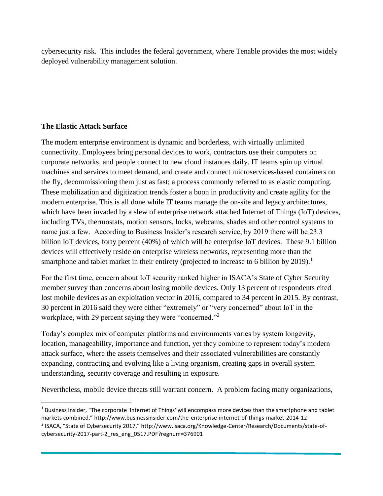cybersecurity risk. This includes the federal government, where Tenable provides the most widely deployed vulnerability management solution.

### **The Elastic Attack Surface**

 $\overline{a}$ 

The modern enterprise environment is dynamic and borderless, with virtually unlimited connectivity. Employees bring personal devices to work, contractors use their computers on corporate networks, and people connect to new cloud instances daily. IT teams spin up virtual machines and services to meet demand, and create and connect microservices-based containers on the fly, decommissioning them just as fast; a process commonly referred to as elastic computing. These mobilization and digitization trends foster a boon in productivity and create agility for the modern enterprise. This is all done while IT teams manage the on-site and legacy architectures, which have been invaded by a slew of enterprise network attached Internet of Things (IoT) devices, including TVs, thermostats, motion sensors, locks, webcams, shades and other control systems to name just a few. According to Business Insider's research service, by 2019 there will be 23.3 billion IoT devices, forty percent (40%) of which will be enterprise IoT devices. These 9.1 billion devices will effectively reside on enterprise wireless networks, representing more than the smartphone and tablet market in their entirety (projected to increase to 6 billion by  $2019$ ).<sup>1</sup>

For the first time, concern about IoT security ranked higher in ISACA's State of Cyber Security member survey than concerns about losing mobile devices. Only 13 percent of respondents cited lost mobile devices as an exploitation vector in 2016, compared to 34 percent in 2015. By contrast, 30 percent in 2016 said they were either "extremely" or "very concerned" about IoT in the workplace, with 29 percent saying they were "concerned."<sup>2</sup>

Today's complex mix of computer platforms and environments varies by system longevity, location, manageability, importance and function, yet they combine to represent today's modern attack surface, where the assets themselves and their associated vulnerabilities are constantly expanding, contracting and evolving like a living organism, creating gaps in overall system understanding, security coverage and resulting in exposure.

Nevertheless, mobile device threats still warrant concern. A problem facing many organizations,

 $1$  Business Insider, "The corporate 'Internet of Things' will encompass more devices than the smartphone and tablet markets combined," http://www.businessinsider.com/the-enterprise-internet-of-things-market-2014-12

<sup>&</sup>lt;sup>2</sup> ISACA, "State of Cybersecurity 2017," http://www.isaca.org/Knowledge-Center/Research/Documents/state-ofcybersecurity-2017-part-2\_res\_eng\_0517.PDF?regnum=376901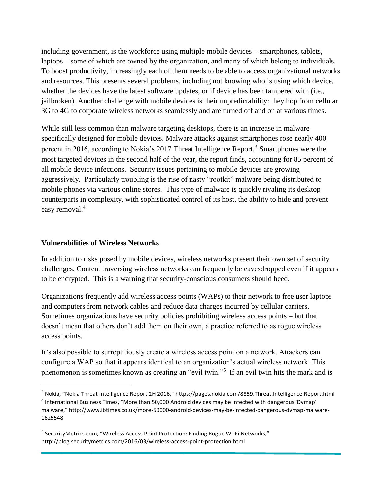including government, is the workforce using multiple mobile devices – smartphones, tablets, laptops – some of which are owned by the organization, and many of which belong to individuals. To boost productivity, increasingly each of them needs to be able to access organizational networks and resources. This presents several problems, including not knowing who is using which device, whether the devices have the latest software updates, or if device has been tampered with (i.e., jailbroken). Another challenge with mobile devices is their unpredictability: they hop from cellular 3G to 4G to corporate wireless networks seamlessly and are turned off and on at various times.

While still less common than malware targeting desktops, there is an increase in malware specifically designed for mobile devices. Malware attacks against smartphones rose nearly 400 percent in 2016, according to Nokia's 2017 Threat Intelligence Report.<sup>3</sup> [S](https://pages.nokia.com/8859.Threat.Intelligence.Report.html)martphones were the most targeted devices in the second half of the year, the report finds, accounting for 85 percent of all mobile device infections. Security issues pertaining to mobile devices are growing aggressively. Particularly troubling is the rise of nasty "rootkit" malware being distributed to mobile phones via various online stores. This type of malware is quickly rivaling its desktop counterparts in complexity, with sophisticated control of its host, the ability to hide and prevent easy removal.<sup>4</sup>

#### **Vulnerabilities of Wireless Networks**

 $\overline{\phantom{a}}$ 

In addition to risks posed by mobile devices, wireless networks present their own set of security challenges. Content traversing wireless networks can frequently be eavesdropped even if it appears to be encrypted. This is a warning that security-conscious consumers should heed.

Organizations frequently add wireless access points (WAPs) to their network to free user laptops and computers from network cables and reduce data charges incurred by cellular carriers. Sometimes organizations have security policies prohibiting wireless access points – but that doesn't mean that others don't add them on their own, a practice referred to as rogue wireless access points.

It's also possible to surreptitiously create a wireless access point on a network. Attackers can configure a WAP so that it appears identical to an organization's actual wireless network. This phenomenon is sometimes known as creating an "evil twin."<sup>5</sup> If an evil twin hits the mark and is

<sup>3</sup> Nokia, "Nokia Threat Intelligence Report 2H 2016," https://pages.nokia.com/8859.Threat.Intelligence.Report.html <sup>4</sup> International Business Times, "More than 50,000 Android devices may be infected with dangerous 'Dvmap' malware," http://www.ibtimes.co.uk/more-50000-android-devices-may-be-infected-dangerous-dvmap-malware-1625548

<sup>&</sup>lt;sup>5</sup> SecurityMetrics.com, "Wireless Access Point Protection: Finding Rogue Wi-Fi Networks," http://blog.securitymetrics.com/2016/03/wireless-access-point-protection.html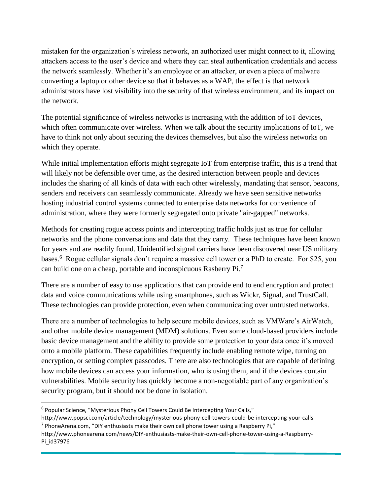mistaken for the organization's wireless network, an authorized user might connect to it, allowing attackers access to the user's device and where they can steal authentication credentials and access the network seamlessly. Whether it's an employee or an attacker, or even a piece of malware converting a laptop or other device so that it behaves as a WAP, the effect is that network administrators have lost visibility into the security of that wireless environment, and its impact on the network.

The potential significance of wireless networks is increasing with the addition of IoT devices, which often communicate over wireless. When we talk about the security implications of IoT, we have to think not only about securing the devices themselves, but also the wireless networks on which they operate.

While initial implementation efforts might segregate IoT from enterprise traffic, this is a trend that will likely not be defensible over time, as the desired interaction between people and devices includes the sharing of all kinds of data with each other wirelessly, mandating that sensor, beacons, senders and receivers can seamlessly communicate. Already we have seen sensitive networks hosting industrial control systems connected to enterprise data networks for convenience of administration, where they were formerly segregated onto private "air-gapped" networks.

Methods for creating rogue access points and intercepting traffic holds just as true for cellular networks and the phone conversations and data that they carry. These techniques have been known for years and are readily found. Unidentified signal carriers have been discovered near US military bases.<sup>6</sup> Rogue cellular signals don't require a massive cell tower or a PhD to create. For \$25, you can build one on a cheap, portable and inconspicuous Rasberry Pi.<sup>7</sup>

There are a number of easy to use applications that can provide end to end encryption and protect data and voice communications while using smartphones, such as Wickr, Signal, and TrustCall. These technologies can provide protection, even when communicating over untrusted networks.

There are a number of technologies to help secure mobile devices, such as VMWare's AirWatch, and other mobile device management (MDM) solutions. Even some cloud-based providers include basic device management and the ability to provide some protection to your data once it's moved onto a mobile platform. These capabilities frequently include enabling remote wipe, turning on encryption, or setting complex passcodes. There are also technologies that are capable of defining how mobile devices can access your information, who is using them, and if the devices contain vulnerabilities. Mobile security has quickly become a non-negotiable part of any organization's security program, but it should not be done in isolation.

 $\overline{a}$ 

<sup>&</sup>lt;sup>6</sup> Popular Science, "Mysterious Phony Cell Towers Could Be Intercepting Your Calls,"

http://www.popsci.com/article/technology/mysterious-phony-cell-towers-could-be-intercepting-your-calls  $^7$  PhoneArena.com, "DIY enthusiasts make their own cell phone tower using a Raspberry Pi,"

http://www.phonearena.com/news/DIY-enthusiasts-make-their-own-cell-phone-tower-using-a-Raspberry-Pi\_id37976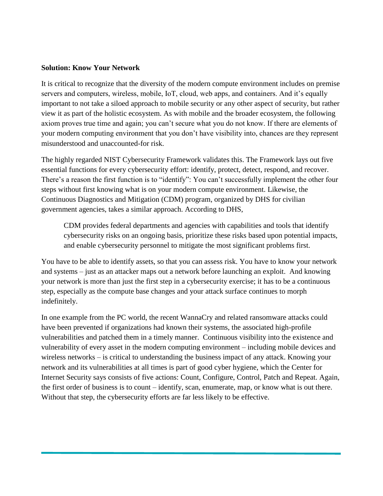### **Solution: Know Your Network**

It is critical to recognize that the diversity of the modern compute environment includes on premise servers and computers, wireless, mobile, IoT, cloud, web apps, and containers. And it's equally important to not take a siloed approach to mobile security or any other aspect of security, but rather view it as part of the holistic ecosystem. As with mobile and the broader ecosystem, the following axiom proves true time and again; you can't secure what you do not know. If there are elements of your modern computing environment that you don't have visibility into, chances are they represent misunderstood and unaccounted-for risk.

The highly regarded NIST Cybersecurity Framework validates this. The Framework lays out five essential functions for every cybersecurity effort: identify, protect, detect, respond, and recover. There's a reason the first function is to "identify": You can't successfully implement the other four steps without first knowing what is on your modern compute environment. Likewise, the Continuous Diagnostics and Mitigation (CDM) program, organized by DHS for civilian government agencies, takes a similar approach. According to DHS,

CDM provides federal departments and agencies with capabilities and tools that identify cybersecurity risks on an ongoing basis, prioritize these risks based upon potential impacts, and enable cybersecurity personnel to mitigate the most significant problems first.

You have to be able to identify assets, so that you can assess risk. You have to know your network and systems – just as an attacker maps out a network before launching an exploit. And knowing your network is more than just the first step in a cybersecurity exercise; it has to be a continuous step, especially as the compute base changes and your attack surface continues to morph indefinitely.

In one example from the PC world, the recent WannaCry and related ransomware attacks could have been prevented if organizations had known their systems, the associated high-profile vulnerabilities and patched them in a timely manner. Continuous visibility into the existence and vulnerability of every asset in the modern computing environment – including mobile devices and wireless networks – is critical to understanding the business impact of any attack. Knowing your network and its vulnerabilities at all times is part of good cyber hygiene, which the Center for Internet Security says consists of five actions: Count, Configure, Control, Patch and Repeat. Again, the first order of business is to count – identify, scan, enumerate, map, or know what is out there. Without that step, the cybersecurity efforts are far less likely to be effective.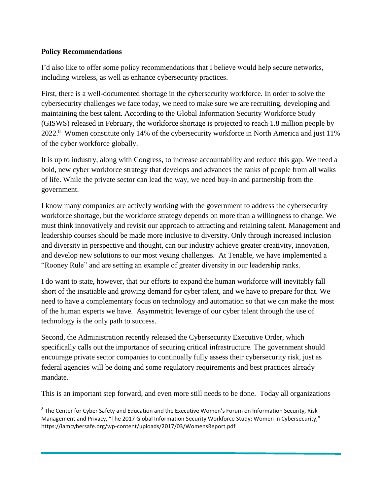# **Policy Recommendations**

 $\overline{a}$ 

I'd also like to offer some policy recommendations that I believe would help secure networks, including wireless, as well as enhance cybersecurity practices.

First, there is a well-documented shortage in the cybersecurity workforce. In order to solve the cybersecurity challenges we face today, we need to make sure we are recruiting, developing and maintaining the best talent. According to the Global Information Security Workforce Study (GISWS) released in February, the workforce shortage is projected to reach 1.8 million people by 2022.<sup>8</sup> Women constitute only 14% of the cybersecurity workforce in North America and just 11% of the cyber workforce globally.

It is up to industry, along with Congress, to increase accountability and reduce this gap. We need a bold, new cyber workforce strategy that develops and advances the ranks of people from all walks of life. While the private sector can lead the way, we need buy-in and partnership from the government.

I know many companies are actively working with the government to address the cybersecurity workforce shortage, but the workforce strategy depends on more than a willingness to change. We must think innovatively and revisit our approach to attracting and retaining talent. Management and leadership courses should be made more inclusive to diversity. Only through increased inclusion and diversity in perspective and thought, can our industry achieve greater creativity, innovation, and develop new solutions to our most vexing challenges. At Tenable, we have implemented a "Rooney Rule" and are setting an example of greater diversity in our leadership ranks.

I do want to state, however, that our efforts to expand the human workforce will inevitably fall short of the insatiable and growing demand for cyber talent, and we have to prepare for that. We need to have a complementary focus on technology and automation so that we can make the most of the human experts we have. Asymmetric leverage of our cyber talent through the use of technology is the only path to success.

Second, the Administration recently released the Cybersecurity Executive Order, which specifically calls out the importance of securing critical infrastructure. The government should encourage private sector companies to continually fully assess their cybersecurity risk, just as federal agencies will be doing and some regulatory requirements and best practices already mandate.

This is an important step forward, and even more still needs to be done. Today all organizations

<sup>&</sup>lt;sup>8</sup> The Center for Cyber Safety and Education and the Executive Women's Forum on Information Security, Risk Management and Privacy, "The 2017 Global Information Security Workforce Study: Women in Cybersecurity," https://iamcybersafe.org/wp-content/uploads/2017/03/WomensReport.pdf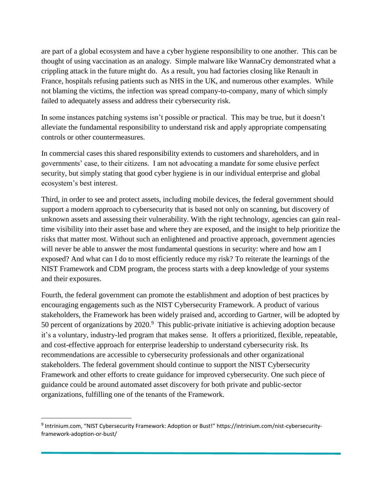are part of a global ecosystem and have a cyber hygiene responsibility to one another. This can be thought of using vaccination as an analogy. Simple malware like WannaCry demonstrated what a crippling attack in the future might do. As a result, you had factories closing like Renault in France, hospitals refusing patients such as NHS in the UK, and numerous other examples. While not blaming the victims, the infection was spread company-to-company, many of which simply failed to adequately assess and address their cybersecurity risk.

In some instances patching systems isn't possible or practical. This may be true, but it doesn't alleviate the fundamental responsibility to understand risk and apply appropriate compensating controls or other countermeasures.

In commercial cases this shared responsibility extends to customers and shareholders, and in governments' case, to their citizens. I am not advocating a mandate for some elusive perfect security, but simply stating that good cyber hygiene is in our individual enterprise and global ecosystem's best interest.

Third, in order to see and protect assets, including mobile devices, the federal government should support a modern approach to cybersecurity that is based not only on scanning, but discovery of unknown assets and assessing their vulnerability. With the right technology, agencies can gain realtime visibility into their asset base and where they are exposed, and the insight to help prioritize the risks that matter most. Without such an enlightened and proactive approach, government agencies will never be able to answer the most fundamental questions in security: where and how am I exposed? And what can I do to most efficiently reduce my risk? To reiterate the learnings of the NIST Framework and CDM program, the process starts with a deep knowledge of your systems and their exposures.

Fourth, the federal government can promote the establishment and adoption of best practices by encouraging engagements such as the NIST Cybersecurity Framework. A product of various stakeholders, the Framework has been widely praised and, according to Gartner, will be adopted by 50 percent of organizations by  $2020$ .<sup>9</sup> This public-private initiative is achieving adoption because it's a voluntary, industry-led program that makes sense. It offers a prioritized, flexible, repeatable, and cost-effective approach for enterprise leadership to understand cybersecurity risk. Its recommendations are accessible to cybersecurity professionals and other organizational stakeholders. The federal government should continue to support the NIST Cybersecurity Framework and other efforts to create guidance for improved cybersecurity. One such piece of guidance could be around automated asset discovery for both private and public-sector organizations, fulfilling one of the tenants of the Framework.

 $\overline{a}$ 

<sup>9</sup> Intrinium.com, "NIST Cybersecurity Framework: Adoption or Bust!" https://intrinium.com/nist-cybersecurityframework-adoption-or-bust/